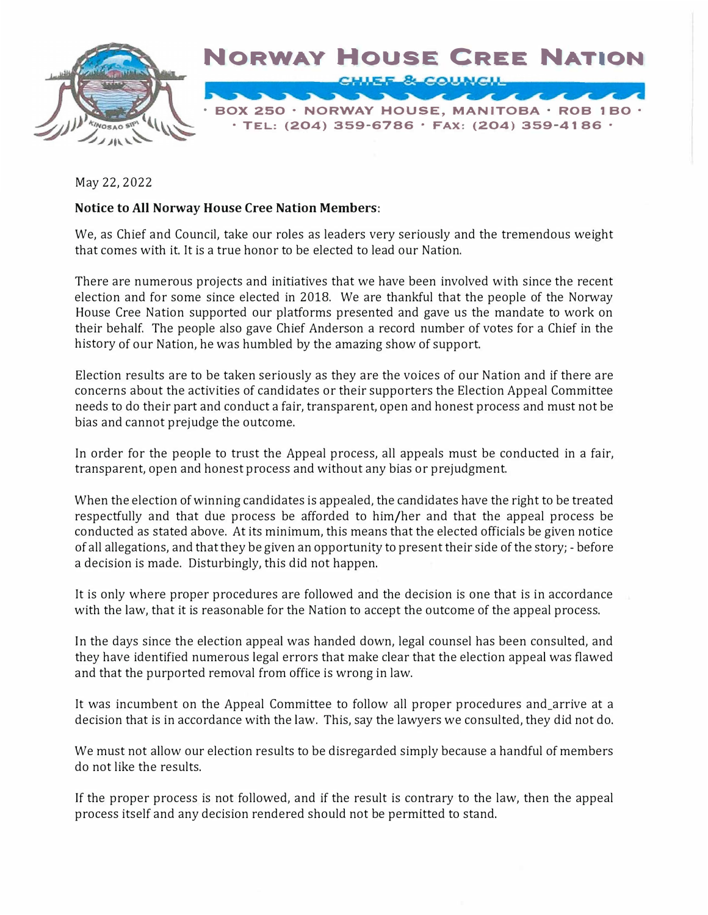

May 22, 2022

## **Notice to All Norway House Cree Nation Members:**

We, as Chief and Council, take our roles as leaders very seriously and the tremendous weight that comes with it. It is a true honor to be elected to lead our Nation.

There are numerous projects and initiatives that we have been involved with since the recent election and for some since elected in 2018. We are thankful that the people of the Norway House Cree Nation supported our platforms presented and gave us the mandate to work on their behalf. The people also gave Chief Anderson a record number of votes for a Chief in the history of our Nation, he was humbled by the amazing show of support.

Election results are to be taken seriously as they are the voices of our Nation and if there are concerns about the activities of candidates or their supporters the Election Appeal Committee needs to do their part and conduct a fair, transparent, open and honest process and must not be bias and cannot prejudge the outcome.

In order for the people to trust the Appeal process, all appeals must be conducted in a fair, transparent, open and honest process and without any bias or prejudgment.

When the election of winning candidates is appealed, the candidates have the right to be treated respectfully and that due process be afforded to him/her and that the appeal process be conducted as stated above. At its minimum, this means that the elected officials be given notice of all allegations, and that they be given an opportunity to present their side of the story; - before a decision is made. Disturbingly, this did not happen.

It is only where proper procedures are followed and the decision is one that is in accordance with the law, that it is reasonable for the Nation to accept the outcome of the appeal process.

In the days since the election appeal was handed down, legal counsel has been consulted, and they have identified numerous legal errors that make clear that the election appeal was flawed and that the purported removal from office is wrong in law.

It was incumbent on the Appeal Committee to follow all proper procedures and\_arrive at a decision that is in accordance with the law. This, say the lawyers we consulted, they did not do.

We must not allow our election results to be disregarded simply because a handful of members do not like the results.

If the proper process is not followed, and if the result is contrary to the law, then the appeal process itself and any decision rendered should not be permitted to stand.